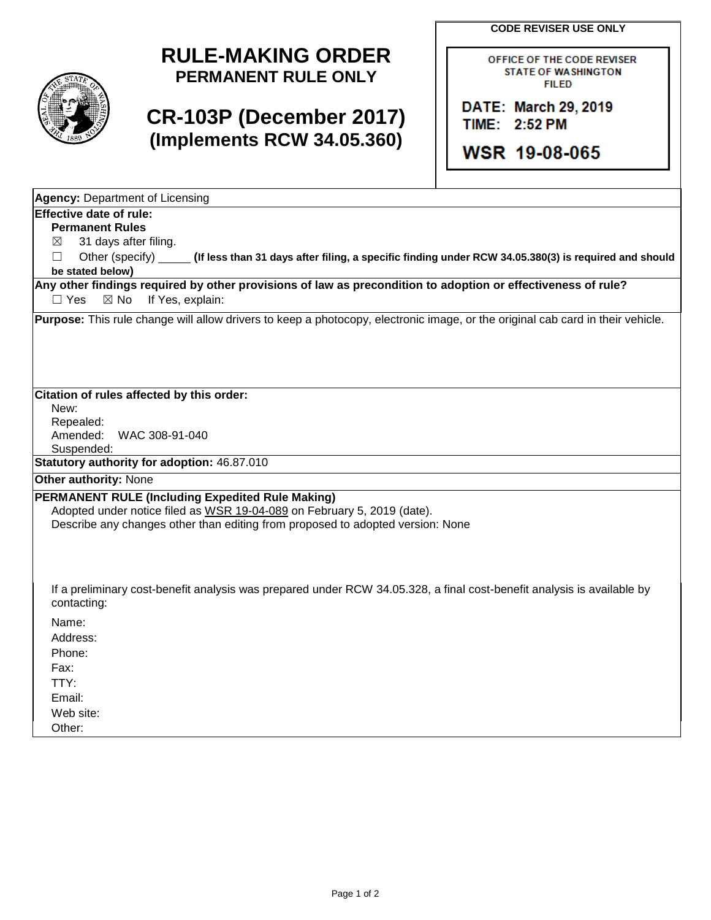**CODE REVISER USE ONLY**



## **RULE-MAKING ORDER PERMANENT RULE ONLY**

## **CR-103P (December 2017) (Implements RCW 34.05.360)**

OFFICE OF THE CODE REVISER **STATE OF WASHINGTON FILED** 

DATE: March 29, 2019 TIME: 2:52 PM

**WSR 19-08-065** 

| <b>Agency: Department of Licensing</b>                                                                                                                                                                        |  |
|---------------------------------------------------------------------------------------------------------------------------------------------------------------------------------------------------------------|--|
| <b>Effective date of rule:</b>                                                                                                                                                                                |  |
| <b>Permanent Rules</b>                                                                                                                                                                                        |  |
| 31 days after filing.<br>⊠                                                                                                                                                                                    |  |
| Other (specify)<br>□<br>(If less than 31 days after filing, a specific finding under RCW 34.05.380(3) is required and should                                                                                  |  |
| be stated below)                                                                                                                                                                                              |  |
| Any other findings required by other provisions of law as precondition to adoption or effectiveness of rule?<br>If Yes, explain:<br>$\Box$ Yes<br>$\boxtimes$ No                                              |  |
| Purpose: This rule change will allow drivers to keep a photocopy, electronic image, or the original cab card in their vehicle.                                                                                |  |
| Citation of rules affected by this order:                                                                                                                                                                     |  |
| New:                                                                                                                                                                                                          |  |
| Repealed:<br>Amended:<br>WAC 308-91-040                                                                                                                                                                       |  |
| Suspended:                                                                                                                                                                                                    |  |
| Statutory authority for adoption: 46.87.010                                                                                                                                                                   |  |
| <b>Other authority: None</b>                                                                                                                                                                                  |  |
|                                                                                                                                                                                                               |  |
| PERMANENT RULE (Including Expedited Rule Making)<br>Adopted under notice filed as WSR 19-04-089 on February 5, 2019 (date).<br>Describe any changes other than editing from proposed to adopted version: None |  |
| If a preliminary cost-benefit analysis was prepared under RCW 34.05.328, a final cost-benefit analysis is available by<br>contacting:                                                                         |  |
| Name:                                                                                                                                                                                                         |  |
| Address:                                                                                                                                                                                                      |  |
| Phone:                                                                                                                                                                                                        |  |
| Fax:                                                                                                                                                                                                          |  |
| TTY:                                                                                                                                                                                                          |  |
| Email:                                                                                                                                                                                                        |  |
| Web site:                                                                                                                                                                                                     |  |
| Other:                                                                                                                                                                                                        |  |
|                                                                                                                                                                                                               |  |